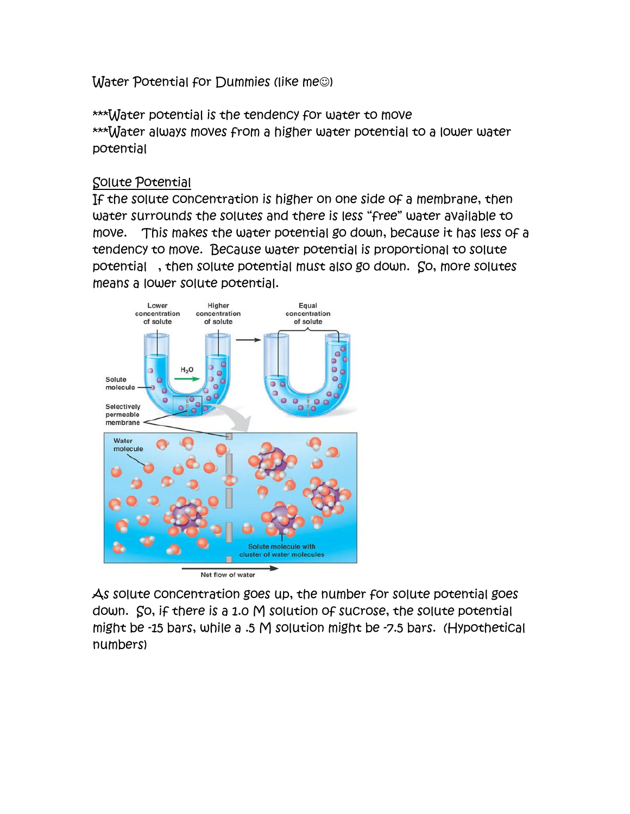Water Potential for Dummies (like me<sup>o)</sup>

\*\*\*Water potential is the tendency for water to move \*\*\*Water always moves from a higher water potential to a lower water potential

## Solute Potential

If the solute concentration is higher on one side of a membrane, then water surrounds the solutes and there is less "free" water available to move. This makes the water potential go down, because it has less of a tendency to move. Because water potential is proportional to solute potential , then solute potential must also go down. So, more solutes means a lower solute potential.



As solute concentration goes up, the number for solute potential goes down. So, if there is a 1.0 M solution of sucrose, the solute potential might be -15 bars, while a .5 M solution might be -7.5 bars. (Hypothetical numbers)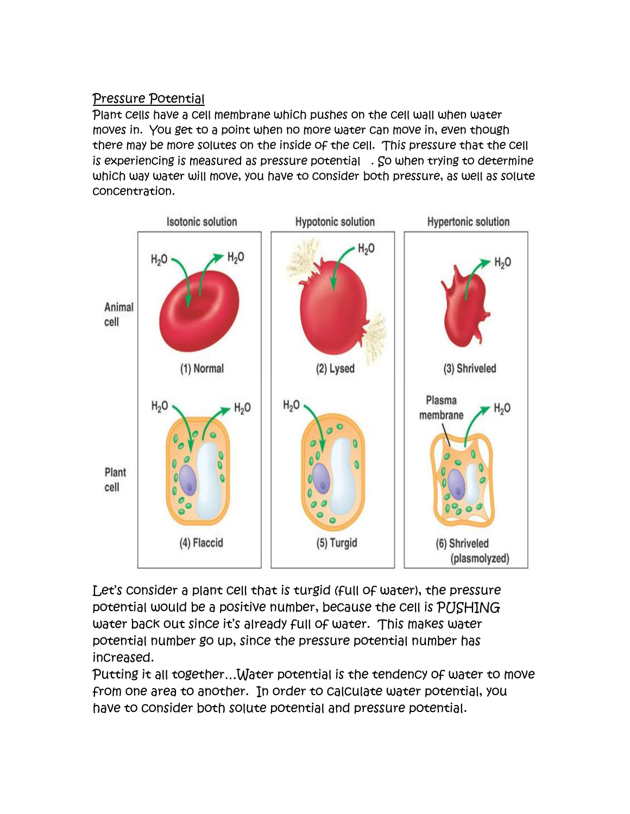## Pressure Potential

Plant cells have a cell membrane which pushes on the cell wall when water moves in. You get to a point when no more water can move in, even though there may be more solutes on the inside of the cell. This pressure that the cell is experiencing is measured as pressure potential . So when trying to determine which way water will move, you have to consider both pressure, as well as solute concentration.



Let's consider a plant cell that is turgid (full of water), the pressure potential would be a positive number, because the cell is PUSHING water back out since it's already full of water. This makes water potential number go up, since the pressure potential number has increased.

Putting it all together…Water potential is the tendency of water to move from one area to another. In order to calculate water potential, you have to consider both solute potential and pressure potential.